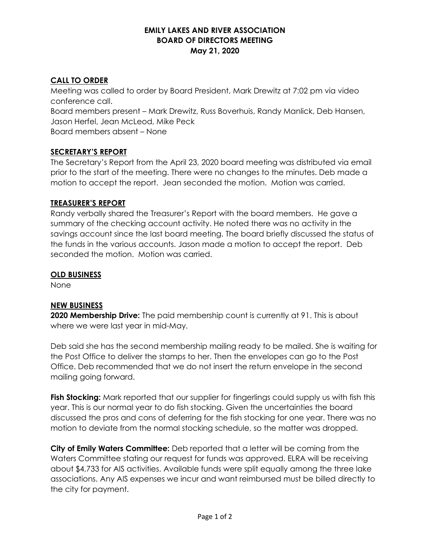# **EMILY LAKES AND RIVER ASSOCIATION BOARD OF DIRECTORS MEETING May 21, 2020**

# **CALL TO ORDER**

Meeting was called to order by Board President, Mark Drewitz at 7:02 pm via video conference call. Board members present – Mark Drewitz, Russ Boverhuis, Randy Manlick, Deb Hansen, Jason Herfel, Jean McLeod, Mike Peck Board members absent – None

# **SECRETARY'S REPORT**

The Secretary's Report from the April 23, 2020 board meeting was distributed via email prior to the start of the meeting. There were no changes to the minutes. Deb made a motion to accept the report. Jean seconded the motion. Motion was carried.

## **TREASURER'S REPORT**

Randy verbally shared the Treasurer's Report with the board members. He gave a summary of the checking account activity. He noted there was no activity in the savings account since the last board meeting. The board briefly discussed the status of the funds in the various accounts. Jason made a motion to accept the report. Deb seconded the motion. Motion was carried.

#### **OLD BUSINESS**

None

## **NEW BUSINESS**

**2020 Membership Drive:** The paid membership count is currently at 91. This is about where we were last year in mid-May.

Deb said she has the second membership mailing ready to be mailed. She is waiting for the Post Office to deliver the stamps to her. Then the envelopes can go to the Post Office. Deb recommended that we do not insert the return envelope in the second mailing going forward.

Fish Stocking: Mark reported that our supplier for fingerlings could supply us with fish this year. This is our normal year to do fish stocking. Given the uncertainties the board discussed the pros and cons of deferring for the fish stocking for one year. There was no motion to deviate from the normal stocking schedule, so the matter was dropped.

**City of Emily Waters Committee:** Deb reported that a letter will be coming from the Waters Committee stating our request for funds was approved. ELRA will be receiving about \$4,733 for AIS activities. Available funds were split equally among the three lake associations. Any AIS expenses we incur and want reimbursed must be billed directly to the city for payment.